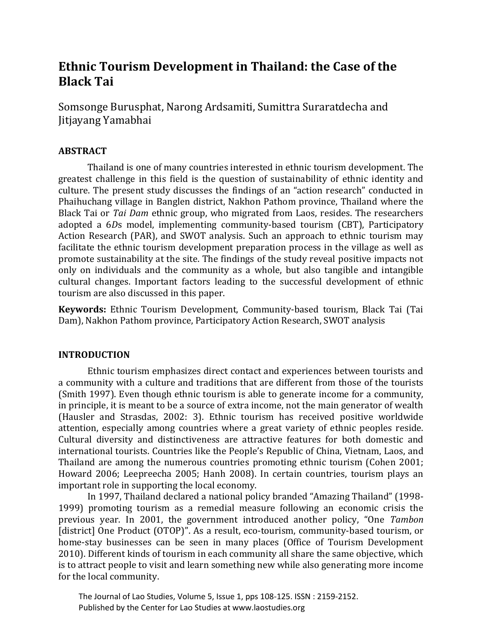# **Ethnic Tourism Development in Thailand: the Case of the Black Tai**

Somsonge Burusphat, Narong Ardsamiti, Sumittra Suraratdecha and Jitjayang Yamabhai

# **ABSTRACT**

Thailand is one of many countries interested in ethnic tourism development. The greatest challenge in this field is the question of sustainability of ethnic identity and culture. The present study discusses the findings of an "action research" conducted in Phaihuchang village in Banglen district, Nakhon Pathom province, Thailand where the Black Tai or *Tai Dam* ethnic group, who migrated from Laos, resides. The researchers adopted a 6*D*s model, implementing community-based tourism (CBT), Participatory Action Research (PAR), and SWOT analysis. Such an approach to ethnic tourism may facilitate the ethnic tourism development preparation process in the village as well as promote sustainability at the site. The findings of the study reveal positive impacts not only on individuals and the community as a whole, but also tangible and intangible cultural changes. Important factors leading to the successful development of ethnic tourism are also discussed in this paper.

**Keywords:** Ethnic Tourism Development, Community-based tourism, Black Tai (Tai Dam), Nakhon Pathom province, Participatory Action Research, SWOT analysis

## **INTRODUCTION**

Ethnic tourism emphasizes direct contact and experiences between tourists and a community with a culture and traditions that are different from those of the tourists (Smith 1997). Even though ethnic tourism is able to generate income for a community, in principle, it is meant to be a source of extra income, not the main generator of wealth (Hausler and Strasdas, 2002: 3). Ethnic tourism has received positive worldwide attention, especially among countries where a great variety of ethnic peoples reside. Cultural diversity and distinctiveness are attractive features for both domestic and international tourists. Countries like the People's Republic of China, Vietnam, Laos, and Thailand are among the numerous countries promoting ethnic tourism (Cohen 2001; Howard 2006; Leepreecha 2005; Hanh 2008). In certain countries, tourism plays an important role in supporting the local economy.

In 1997, Thailand declared a national policy branded "Amazing Thailand" (1998- 1999) promoting tourism as a remedial measure following an economic crisis the previous year. In 2001, the government introduced another policy, "One *Tambon* [district] One Product (OTOP)". As a result, eco-tourism, community-based tourism, or home-stay businesses can be seen in many places (Office of Tourism Development 2010). Different kinds of tourism in each community all share the same objective, which is to attract people to visit and learn something new while also generating more income for the local community.

 The Journal of Lao Studies, Volume 5, Issue 1, pps 108-125. ISSN : 2159-2152. Published by the Center for Lao Studies at www.laostudies.org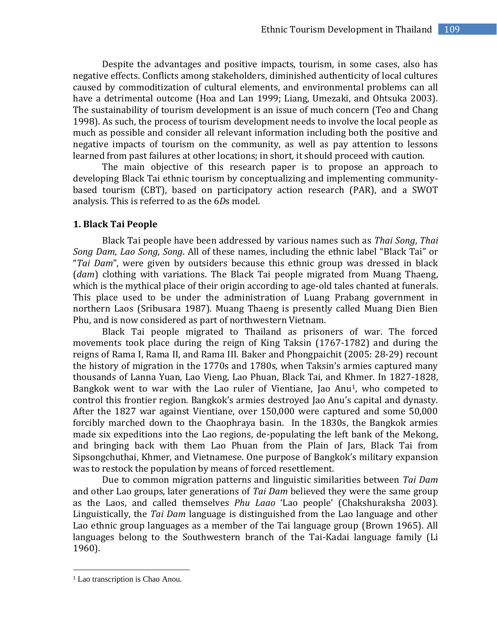Despite the advantages and positive impacts, tourism, in some cases, also has negative effects. Conflicts among stakeholders, diminished authenticity of local cultures caused by commoditization of cultural elements, and environmental problems can all have a detrimental outcome (Hoa and Lan 1999; Liang, Umezaki, and Ohtsuka 2003). The sustainability of tourism development is an issue of much concern (Teo and Chang 1998). As such, the process of tourism development needs to involve the local people as much as possible and consider all relevant information including both the positive and negative impacts of tourism on the community, as well as pay attention to lessons learned from past failures at other locations; in short, it should proceed with caution.

The main objective of this research paper is to propose an approach to developing Black Tai ethnic tourism by conceptualizing and implementing communitybased tourism (CBT), based on participatory action research (PAR), and a SWOT analysis. This is referred to as the 6*D*s model.

#### **1. Black Tai People**

Black Tai people have been addressed by various names such as *Thai Song*, *Thai Song Dam*, *Lao Song*, *Song*. All of these names, including the ethnic label "Black Tai" or "*Tai Dam*", were given by outsiders because this ethnic group was dressed in black (*dam*) clothing with variations. The Black Tai people migrated from Muang Thaeng, which is the mythical place of their origin according to age-old tales chanted at funerals. This place used to be under the administration of Luang Prabang government in northern Laos (Sribusara 1987). Muang Thaeng is presently called Muang Dien Bien Phu, and is now considered as part of northwestern Vietnam.

Black Tai people migrated to Thailand as prisoners of war. The forced movements took place during the reign of King Taksin (1767-1782) and during the reigns of Rama I, Rama II, and Rama III. Baker and Phongpaichit (2005: 28-29) recount the history of migration in the 1770s and 1780s, when Taksin's armies captured many thousands of Lanna Yuan, Lao Vieng, Lao Phuan, Black Tai, and Khmer. In 1827-1828, Bangkok went to war with the Lao ruler of Vientiane, Jao Anu1, who competed to control this frontier region. Bangkok's armies destroyed Jao Anu's capital and dynasty. After the 1827 war against Vientiane, over 150,000 were captured and some 50,000 forcibly marched down to the Chaophraya basin. In the 1830s, the Bangkok armies made six expeditions into the Lao regions, de-populating the left bank of the Mekong, and bringing back with them Lao Phuan from the Plain of Jars, Black Tai from Sipsongchuthai, Khmer, and Vietnamese. One purpose of Bangkok's military expansion was to restock the population by means of forced resettlement.

Due to common migration patterns and linguistic similarities between *Tai Dam* and other Lao groups, later generations of *Tai Dam* believed they were the same group as the Laos, and called themselves *Phu Laao* 'Lao people' (Chakshuraksha 2003). Linguistically, the *Tai Dam* language is distinguished from the Lao language and other Lao ethnic group languages as a member of the Tai language group (Brown 1965). All languages belong to the Southwestern branch of the Tai-Kadai language family (Li 1960).

l

<sup>&</sup>lt;sup>1</sup> Lao transcription is Chao Anou.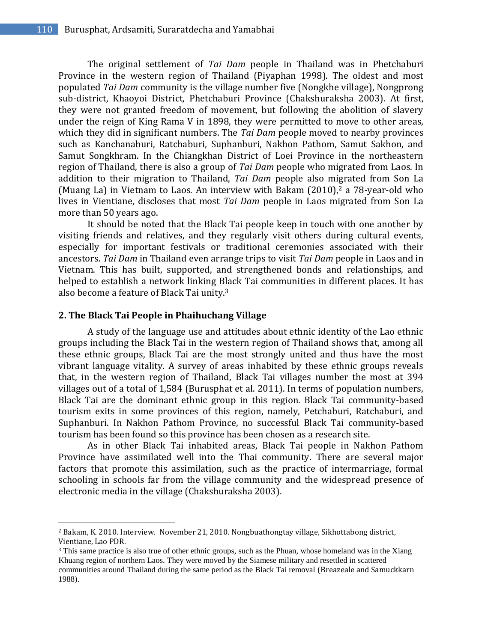The original settlement of *Tai Dam* people in Thailand was in Phetchaburi Province in the western region of Thailand (Piyaphan 1998). The oldest and most populated *Tai Dam* community is the village number five (Nongkhe village), Nongprong sub-district, Khaoyoi District, Phetchaburi Province (Chakshuraksha 2003). At first, they were not granted freedom of movement, but following the abolition of slavery under the reign of King Rama V in 1898, they were permitted to move to other areas, which they did in significant numbers. The *Tai Dam* people moved to nearby provinces such as Kanchanaburi, Ratchaburi, Suphanburi, Nakhon Pathom, Samut Sakhon, and Samut Songkhram. In the Chiangkhan District of Loei Province in the northeastern region of Thailand, there is also a group of *Tai Dam* people who migrated from Laos. In addition to their migration to Thailand, *Tai Dam* people also migrated from Son La (Muang La) in Vietnam to Laos. An interview with Bakam (2010), <sup>2</sup> a 78-year-old who lives in Vientiane, discloses that most *Tai Dam* people in Laos migrated from Son La more than 50 years ago.

It should be noted that the Black Tai people keep in touch with one another by visiting friends and relatives, and they regularly visit others during cultural events, especially for important festivals or traditional ceremonies associated with their ancestors. *Tai Dam* in Thailand even arrange trips to visit *Tai Dam* people in Laos and in Vietnam. This has built, supported, and strengthened bonds and relationships, and helped to establish a network linking Black Tai communities in different places. It has also become a feature of Black Tai unity.<sup>3</sup>

## **2. The Black Tai People in Phaihuchang Village**

l

A study of the language use and attitudes about ethnic identity of the Lao ethnic groups including the Black Tai in the western region of Thailand shows that, among all these ethnic groups, Black Tai are the most strongly united and thus have the most vibrant language vitality. A survey of areas inhabited by these ethnic groups reveals that, in the western region of Thailand, Black Tai villages number the most at 394 villages out of a total of 1,584 (Burusphat et al. 2011). In terms of population numbers, Black Tai are the dominant ethnic group in this region. Black Tai community-based tourism exits in some provinces of this region, namely, Petchaburi, Ratchaburi, and Suphanburi. In Nakhon Pathom Province, no successful Black Tai community-based tourism has been found so this province has been chosen as a research site.

As in other Black Tai inhabited areas, Black Tai people in Nakhon Pathom Province have assimilated well into the Thai community. There are several major factors that promote this assimilation, such as the practice of intermarriage, formal schooling in schools far from the village community and the widespread presence of electronic media in the village (Chakshuraksha 2003).

<sup>2</sup> Bakam, K. 2010. Interview. November 21, 2010. Nongbuathongtay village, Sikhottabong district, Vientiane, Lao PDR.

<sup>&</sup>lt;sup>3</sup> This same practice is also true of other ethnic groups, such as the Phuan, whose homeland was in the Xiang Khuang region of northern Laos. They were moved by the Siamese military and resettled in scattered communities around Thailand during the same period as the Black Tai removal (Breazeale and Samuckkarn 1988).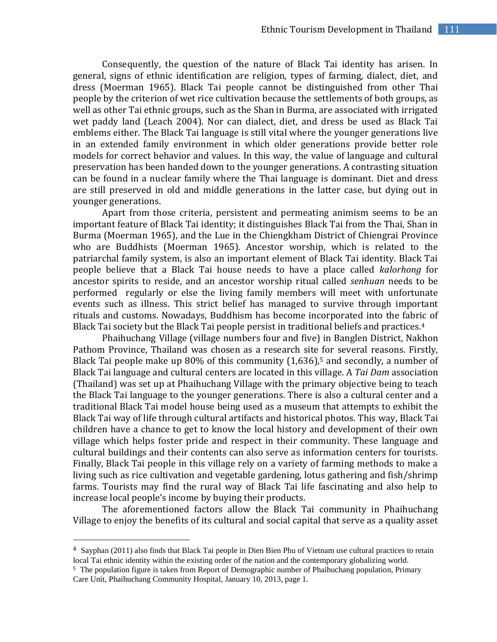Consequently, the question of the nature of Black Tai identity has arisen. In general, signs of ethnic identification are religion, types of farming, dialect, diet, and dress (Moerman 1965). Black Tai people cannot be distinguished from other Thai people by the criterion of wet rice cultivation because the settlements of both groups, as well as other Tai ethnic groups, such as the Shan in Burma, are associated with irrigated wet paddy land (Leach 2004). Nor can dialect, diet, and dress be used as Black Tai emblems either. The Black Tai language is still vital where the younger generations live in an extended family environment in which older generations provide better role models for correct behavior and values. In this way, the value of language and cultural preservation has been handed down to the younger generations. A contrasting situation can be found in a nuclear family where the Thai language is dominant. Diet and dress are still preserved in old and middle generations in the latter case, but dying out in younger generations.

Apart from those criteria, persistent and permeating animism seems to be an important feature of Black Tai identity; it distinguishes Black Tai from the Thai, Shan in Burma (Moerman 1965), and the Lue in the Chiengkham District of Chiengrai Province who are Buddhists (Moerman 1965). Ancestor worship, which is related to the patriarchal family system, is also an important element of Black Tai identity. Black Tai people believe that a Black Tai house needs to have a place called *kalorhong* for ancestor spirits to reside, and an ancestor worship ritual called *senhuan* needs to be performed regularly or else the living family members will meet with unfortunate events such as illness. This strict belief has managed to survive through important rituals and customs. Nowadays, Buddhism has become incorporated into the fabric of Black Tai society but the Black Tai people persist in traditional beliefs and practices.<sup>4</sup>

Phaihuchang Village (village numbers four and five) in Banglen District, Nakhon Pathom Province, Thailand was chosen as a research site for several reasons. Firstly, Black Tai people make up  $80\%$  of this community  $(1,636)$ ,<sup>5</sup> and secondly, a number of Black Tai language and cultural centers are located in this village. A *Tai Dam* association (Thailand) was set up at Phaihuchang Village with the primary objective being to teach the Black Tai language to the younger generations. There is also a cultural center and a traditional Black Tai model house being used as a museum that attempts to exhibit the Black Tai way of life through cultural artifacts and historical photos. This way, Black Tai children have a chance to get to know the local history and development of their own village which helps foster pride and respect in their community. These language and cultural buildings and their contents can also serve as information centers for tourists. Finally, Black Tai people in this village rely on a variety of farming methods to make a living such as rice cultivation and vegetable gardening, lotus gathering and fish/shrimp farms. Tourists may find the rural way of Black Tai life fascinating and also help to increase local people's income by buying their products.

The aforementioned factors allow the Black Tai community in Phaihuchang Village to enjoy the benefits of its cultural and social capital that serve as a quality asset

 $\overline{\phantom{a}}$ 

<sup>4</sup> Sayphan (2011) also finds that Black Tai people in Dien Bien Phu of Vietnam use cultural practices to retain local Tai ethnic identity within the existing order of the nation and the contemporary globalizing world.

<sup>5</sup> The population figure is taken from Report of Demographic number of Phaihuchang population, Primary Care Unit, Phaihuchang Community Hospital, January 10, 2013, page 1.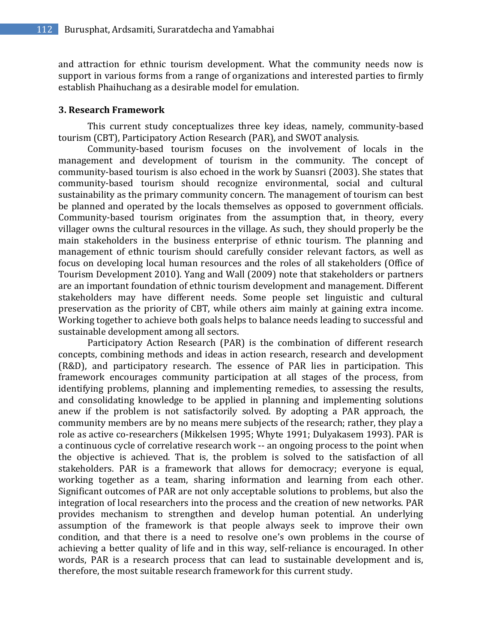and attraction for ethnic tourism development. What the community needs now is support in various forms from a range of organizations and interested parties to firmly establish Phaihuchang as a desirable model for emulation.

#### **3. Research Framework**

This current study conceptualizes three key ideas, namely, community-based tourism (CBT), Participatory Action Research (PAR), and SWOT analysis.

Community-based tourism focuses on the involvement of locals in the management and development of tourism in the community. The concept of community-based tourism is also echoed in the work by Suansri (2003). She states that community-based tourism should recognize environmental, social and cultural sustainability as the primary community concern. The management of tourism can best be planned and operated by the locals themselves as opposed to government officials. Community-based tourism originates from the assumption that, in theory, every villager owns the cultural resources in the village. As such, they should properly be the main stakeholders in the business enterprise of ethnic tourism. The planning and management of ethnic tourism should carefully consider relevant factors, as well as focus on developing local human resources and the roles of all stakeholders (Office of Tourism Development 2010). Yang and Wall (2009) note that stakeholders or partners are an important foundation of ethnic tourism development and management. Different stakeholders may have different needs. Some people set linguistic and cultural preservation as the priority of CBT, while others aim mainly at gaining extra income. Working together to achieve both goals helps to balance needs leading to successful and sustainable development among all sectors.

Participatory Action Research (PAR) is the combination of different research concepts, combining methods and ideas in action research, research and development (R&D), and participatory research. The essence of PAR lies in participation. This framework encourages community participation at all stages of the process, from identifying problems, planning and implementing remedies, to assessing the results, and consolidating knowledge to be applied in planning and implementing solutions anew if the problem is not satisfactorily solved. By adopting a PAR approach, the community members are by no means mere subjects of the research; rather, they play a role as active co-researchers (Mikkelsen 1995; Whyte 1991; Dulyakasem 1993). PAR is a continuous cycle of correlative research work -- an ongoing process to the point when the objective is achieved. That is, the problem is solved to the satisfaction of all stakeholders. PAR is a framework that allows for democracy; everyone is equal, working together as a team, sharing information and learning from each other. Significant outcomes of PAR are not only acceptable solutions to problems, but also the integration of local researchers into the process and the creation of new networks. PAR provides mechanism to strengthen and develop human potential. An underlying assumption of the framework is that people always seek to improve their own condition, and that there is a need to resolve one's own problems in the course of achieving a better quality of life and in this way, self-reliance is encouraged. In other words, PAR is a research process that can lead to sustainable development and is, therefore, the most suitable research framework for this current study.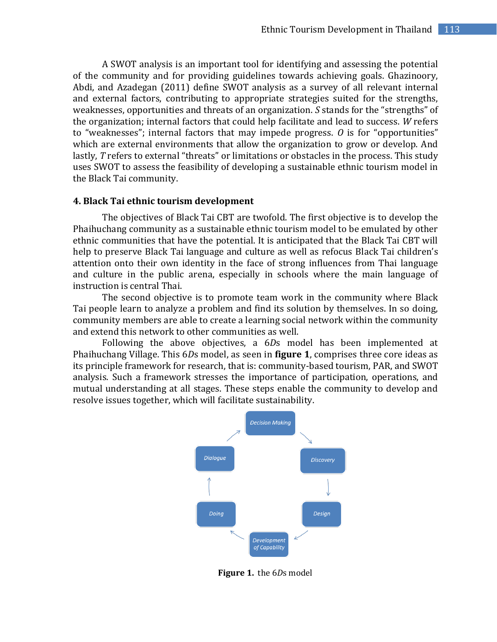A SWOT analysis is an important tool for identifying and assessing the potential of the community and for providing guidelines towards achieving goals. Ghazinoory, Abdi, and Azadegan (2011) define SWOT analysis as a survey of all relevant internal and external factors, contributing to appropriate strategies suited for the strengths, weaknesses, opportunities and threats of an organization. *S* stands for the "strengths" of the organization; internal factors that could help facilitate and lead to success. *W* refers to "weaknesses"; internal factors that may impede progress. *O* is for "opportunities" which are external environments that allow the organization to grow or develop. And lastly, *T* refers to external "threats" or limitations or obstacles in the process. This study uses SWOT to assess the feasibility of developing a sustainable ethnic tourism model in the Black Tai community.

#### **4. Black Tai ethnic tourism development**

The objectives of Black Tai CBT are twofold. The first objective is to develop the Phaihuchang community as a sustainable ethnic tourism model to be emulated by other ethnic communities that have the potential. It is anticipated that the Black Tai CBT will help to preserve Black Tai language and culture as well as refocus Black Tai children's attention onto their own identity in the face of strong influences from Thai language and culture in the public arena, especially in schools where the main language of instruction is central Thai.

The second objective is to promote team work in the community where Black Tai people learn to analyze a problem and find its solution by themselves. In so doing, community members are able to create a learning social network within the community and extend this network to other communities as well.

Following the above objectives, a 6*D*s model has been implemented at Phaihuchang Village. This 6*D*s model, as seen in **figure 1**, comprises three core ideas as its principle framework for research, that is: community-based tourism, PAR, and SWOT analysis. Such a framework stresses the importance of participation, operations, and mutual understanding at all stages. These steps enable the community to develop and resolve issues together, which will facilitate sustainability.



 **Figure 1.** the 6*D*s model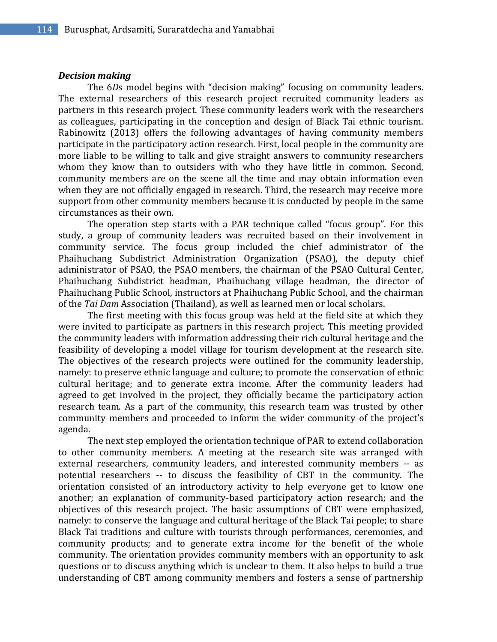#### *Decision making*

The 6*D*s model begins with "decision making" focusing on community leaders. The external researchers of this research project recruited community leaders as partners in this research project. These community leaders work with the researchers as colleagues, participating in the conception and design of Black Tai ethnic tourism. Rabinowitz (2013) offers the following advantages of having community members participate in the participatory action research. First, local people in the community are more liable to be willing to talk and give straight answers to community researchers whom they know than to outsiders with who they have little in common. Second, community members are on the scene all the time and may obtain information even when they are not officially engaged in research. Third, the research may receive more support from other community members because it is conducted by people in the same circumstances as their own.

The operation step starts with a PAR technique called "focus group". For this study, a group of community leaders was recruited based on their involvement in community service. The focus group included the chief administrator of the Phaihuchang Subdistrict Administration Organization (PSAO), the deputy chief administrator of PSAO, the PSAO members, the chairman of the PSAO Cultural Center, Phaihuchang Subdistrict headman, Phaihuchang village headman, the director of Phaihuchang Public School, instructors at Phaihuchang Public School, and the chairman of the *Tai Dam* Association (Thailand), as well as learned men or local scholars.

The first meeting with this focus group was held at the field site at which they were invited to participate as partners in this research project. This meeting provided the community leaders with information addressing their rich cultural heritage and the feasibility of developing a model village for tourism development at the research site. The objectives of the research projects were outlined for the community leadership, namely: to preserve ethnic language and culture; to promote the conservation of ethnic cultural heritage; and to generate extra income. After the community leaders had agreed to get involved in the project, they officially became the participatory action research team. As a part of the community, this research team was trusted by other community members and proceeded to inform the wider community of the project's agenda.

The next step employed the orientation technique of PAR to extend collaboration to other community members. A meeting at the research site was arranged with external researchers, community leaders, and interested community members -- as potential researchers -- to discuss the feasibility of CBT in the community. The orientation consisted of an introductory activity to help everyone get to know one another; an explanation of community-based participatory action research; and the objectives of this research project. The basic assumptions of CBT were emphasized, namely: to conserve the language and cultural heritage of the Black Tai people; to share Black Tai traditions and culture with tourists through performances, ceremonies, and community products; and to generate extra income for the benefit of the whole community. The orientation provides community members with an opportunity to ask questions or to discuss anything which is unclear to them. It also helps to build a true understanding of CBT among community members and fosters a sense of partnership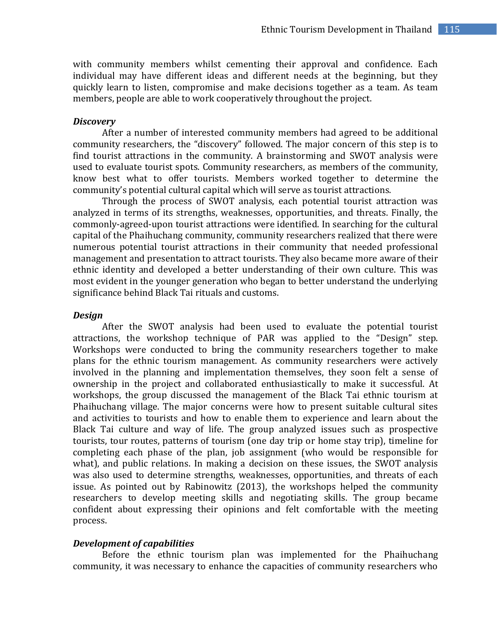with community members whilst cementing their approval and confidence. Each individual may have different ideas and different needs at the beginning, but they quickly learn to listen, compromise and make decisions together as a team. As team members, people are able to work cooperatively throughout the project.

#### *Discovery*

After a number of interested community members had agreed to be additional community researchers, the "discovery" followed. The major concern of this step is to find tourist attractions in the community. A brainstorming and SWOT analysis were used to evaluate tourist spots. Community researchers, as members of the community, know best what to offer tourists. Members worked together to determine the community's potential cultural capital which will serve as tourist attractions.

Through the process of SWOT analysis, each potential tourist attraction was analyzed in terms of its strengths, weaknesses, opportunities, and threats. Finally, the commonly-agreed-upon tourist attractions were identified. In searching for the cultural capital of the Phaihuchang community, community researchers realized that there were numerous potential tourist attractions in their community that needed professional management and presentation to attract tourists. They also became more aware of their ethnic identity and developed a better understanding of their own culture. This was most evident in the younger generation who began to better understand the underlying significance behind Black Tai rituals and customs.

#### *Design*

After the SWOT analysis had been used to evaluate the potential tourist attractions, the workshop technique of PAR was applied to the "Design" step. Workshops were conducted to bring the community researchers together to make plans for the ethnic tourism management. As community researchers were actively involved in the planning and implementation themselves, they soon felt a sense of ownership in the project and collaborated enthusiastically to make it successful. At workshops, the group discussed the management of the Black Tai ethnic tourism at Phaihuchang village. The major concerns were how to present suitable cultural sites and activities to tourists and how to enable them to experience and learn about the Black Tai culture and way of life. The group analyzed issues such as prospective tourists, tour routes, patterns of tourism (one day trip or home stay trip), timeline for completing each phase of the plan, job assignment (who would be responsible for what), and public relations. In making a decision on these issues, the SWOT analysis was also used to determine strengths, weaknesses, opportunities, and threats of each issue. As pointed out by Rabinowitz (2013), the workshops helped the community researchers to develop meeting skills and negotiating skills. The group became confident about expressing their opinions and felt comfortable with the meeting process.

#### *Development of capabilities*

Before the ethnic tourism plan was implemented for the Phaihuchang community, it was necessary to enhance the capacities of community researchers who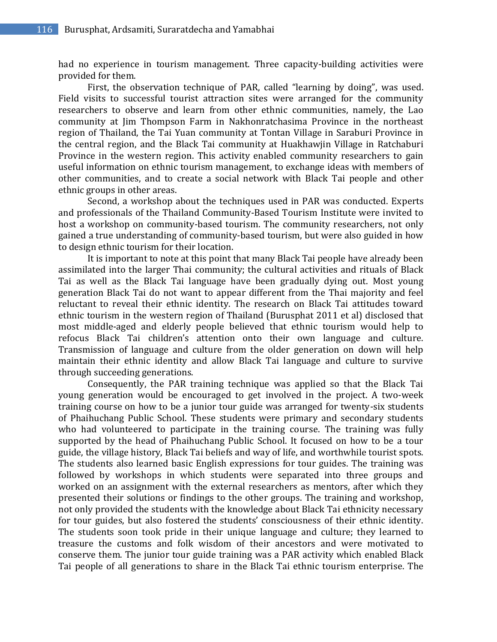had no experience in tourism management. Three capacity-building activities were provided for them.

First, the observation technique of PAR, called "learning by doing", was used. Field visits to successful tourist attraction sites were arranged for the community researchers to observe and learn from other ethnic communities, namely, the Lao community at Jim Thompson Farm in Nakhonratchasima Province in the northeast region of Thailand, the Tai Yuan community at Tontan Village in Saraburi Province in the central region, and the Black Tai community at Huakhawjin Village in Ratchaburi Province in the western region. This activity enabled community researchers to gain useful information on ethnic tourism management, to exchange ideas with members of other communities, and to create a social network with Black Tai people and other ethnic groups in other areas.

Second, a workshop about the techniques used in PAR was conducted. Experts and professionals of the Thailand Community-Based Tourism Institute were invited to host a workshop on community-based tourism. The community researchers, not only gained a true understanding of community-based tourism, but were also guided in how to design ethnic tourism for their location.

It is important to note at this point that many Black Tai people have already been assimilated into the larger Thai community; the cultural activities and rituals of Black Tai as well as the Black Tai language have been gradually dying out. Most young generation Black Tai do not want to appear different from the Thai majority and feel reluctant to reveal their ethnic identity. The research on Black Tai attitudes toward ethnic tourism in the western region of Thailand (Burusphat 2011 et al) disclosed that most middle-aged and elderly people believed that ethnic tourism would help to refocus Black Tai children's attention onto their own language and culture. Transmission of language and culture from the older generation on down will help maintain their ethnic identity and allow Black Tai language and culture to survive through succeeding generations.

Consequently, the PAR training technique was applied so that the Black Tai young generation would be encouraged to get involved in the project. A two-week training course on how to be a junior tour guide was arranged for twenty-six students of Phaihuchang Public School. These students were primary and secondary students who had volunteered to participate in the training course. The training was fully supported by the head of Phaihuchang Public School. It focused on how to be a tour guide, the village history, Black Tai beliefs and way of life, and worthwhile tourist spots. The students also learned basic English expressions for tour guides. The training was followed by workshops in which students were separated into three groups and worked on an assignment with the external researchers as mentors, after which they presented their solutions or findings to the other groups. The training and workshop, not only provided the students with the knowledge about Black Tai ethnicity necessary for tour guides, but also fostered the students' consciousness of their ethnic identity. The students soon took pride in their unique language and culture; they learned to treasure the customs and folk wisdom of their ancestors and were motivated to conserve them. The junior tour guide training was a PAR activity which enabled Black Tai people of all generations to share in the Black Tai ethnic tourism enterprise. The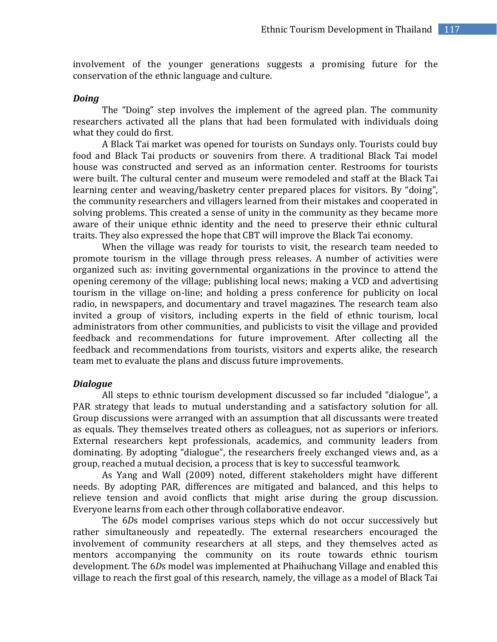involvement of the younger generations suggests a promising future for the conservation of the ethnic language and culture.

#### *Doing*

The "Doing" step involves the implement of the agreed plan. The community researchers activated all the plans that had been formulated with individuals doing what they could do first.

A Black Tai market was opened for tourists on Sundays only. Tourists could buy food and Black Tai products or souvenirs from there. A traditional Black Tai model house was constructed and served as an information center. Restrooms for tourists were built. The cultural center and museum were remodeled and staff at the Black Tai learning center and weaving/basketry center prepared places for visitors. By "doing", the community researchers and villagers learned from their mistakes and cooperated in solving problems. This created a sense of unity in the community as they became more aware of their unique ethnic identity and the need to preserve their ethnic cultural traits. They also expressed the hope that CBT will improve the Black Tai economy.

When the village was ready for tourists to visit, the research team needed to promote tourism in the village through press releases. A number of activities were organized such as: inviting governmental organizations in the province to attend the opening ceremony of the village; publishing local news; making a VCD and advertising tourism in the village on-line; and holding a press conference for publicity on local radio, in newspapers, and documentary and travel magazines. The research team also invited a group of visitors, including experts in the field of ethnic tourism, local administrators from other communities, and publicists to visit the village and provided feedback and recommendations for future improvement. After collecting all the feedback and recommendations from tourists, visitors and experts alike, the research team met to evaluate the plans and discuss future improvements.

#### *Dialogue*

All steps to ethnic tourism development discussed so far included "dialogue", a PAR strategy that leads to mutual understanding and a satisfactory solution for all. Group discussions were arranged with an assumption that all discussants were treated as equals. They themselves treated others as colleagues, not as superiors or inferiors. External researchers kept professionals, academics, and community leaders from dominating. By adopting "dialogue", the researchers freely exchanged views and, as a group, reached a mutual decision, a process that is key to successful teamwork.

As Yang and Wall (2009) noted, different stakeholders might have different needs. By adopting PAR, differences are mitigated and balanced, and this helps to relieve tension and avoid conflicts that might arise during the group discussion. Everyone learns from each other through collaborative endeavor.

The 6*D*s model comprises various steps which do not occur successively but rather simultaneously and repeatedly. The external researchers encouraged the involvement of community researchers at all steps, and they themselves acted as mentors accompanying the community on its route towards ethnic tourism development. The 6*D*s model was implemented at Phaihuchang Village and enabled this village to reach the first goal of this research, namely, the village as a model of Black Tai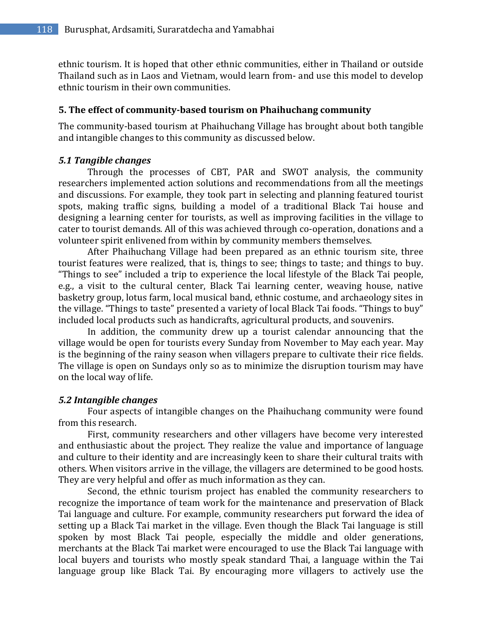ethnic tourism. It is hoped that other ethnic communities, either in Thailand or outside Thailand such as in Laos and Vietnam, would learn from- and use this model to develop ethnic tourism in their own communities.

### **5. The effect of community-based tourism on Phaihuchang community**

The community-based tourism at Phaihuchang Village has brought about both tangible and intangible changes to this community as discussed below.

## *5.1 Tangible changes*

Through the processes of CBT, PAR and SWOT analysis, the community researchers implemented action solutions and recommendations from all the meetings and discussions. For example, they took part in selecting and planning featured tourist spots, making traffic signs, building a model of a traditional Black Tai house and designing a learning center for tourists, as well as improving facilities in the village to cater to tourist demands. All of this was achieved through co-operation, donations and a volunteer spirit enlivened from within by community members themselves.

After Phaihuchang Village had been prepared as an ethnic tourism site, three tourist features were realized, that is, things to see; things to taste; and things to buy. "Things to see" included a trip to experience the local lifestyle of the Black Tai people, e.g., a visit to the cultural center, Black Tai learning center, weaving house, native basketry group, lotus farm, local musical band, ethnic costume, and archaeology sites in the village. "Things to taste" presented a variety of local Black Tai foods. "Things to buy" included local products such as handicrafts, agricultural products, and souvenirs.

In addition, the community drew up a tourist calendar announcing that the village would be open for tourists every Sunday from November to May each year. May is the beginning of the rainy season when villagers prepare to cultivate their rice fields. The village is open on Sundays only so as to minimize the disruption tourism may have on the local way of life.

## *5.2 Intangible changes*

Four aspects of intangible changes on the Phaihuchang community were found from this research.

First, community researchers and other villagers have become very interested and enthusiastic about the project. They realize the value and importance of language and culture to their identity and are increasingly keen to share their cultural traits with others. When visitors arrive in the village, the villagers are determined to be good hosts. They are very helpful and offer as much information as they can.

Second, the ethnic tourism project has enabled the community researchers to recognize the importance of team work for the maintenance and preservation of Black Tai language and culture. For example, community researchers put forward the idea of setting up a Black Tai market in the village. Even though the Black Tai language is still spoken by most Black Tai people, especially the middle and older generations, merchants at the Black Tai market were encouraged to use the Black Tai language with local buyers and tourists who mostly speak standard Thai, a language within the Tai language group like Black Tai. By encouraging more villagers to actively use the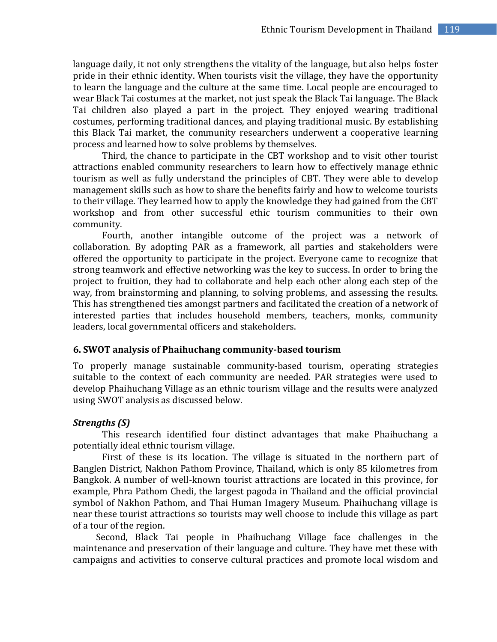language daily, it not only strengthens the vitality of the language, but also helps foster pride in their ethnic identity. When tourists visit the village, they have the opportunity to learn the language and the culture at the same time. Local people are encouraged to wear Black Tai costumes at the market, not just speak the Black Tai language. The Black Tai children also played a part in the project. They enjoyed wearing traditional costumes, performing traditional dances, and playing traditional music. By establishing this Black Tai market, the community researchers underwent a cooperative learning process and learned how to solve problems by themselves.

Third, the chance to participate in the CBT workshop and to visit other tourist attractions enabled community researchers to learn how to effectively manage ethnic tourism as well as fully understand the principles of CBT. They were able to develop management skills such as how to share the benefits fairly and how to welcome tourists to their village. They learned how to apply the knowledge they had gained from the CBT workshop and from other successful ethic tourism communities to their own community.

Fourth, another intangible outcome of the project was a network of collaboration. By adopting PAR as a framework, all parties and stakeholders were offered the opportunity to participate in the project. Everyone came to recognize that strong teamwork and effective networking was the key to success. In order to bring the project to fruition, they had to collaborate and help each other along each step of the way, from brainstorming and planning, to solving problems, and assessing the results. This has strengthened ties amongst partners and facilitated the creation of a network of interested parties that includes household members, teachers, monks, community leaders, local governmental officers and stakeholders.

## **6. SWOT analysis of Phaihuchang community-based tourism**

To properly manage sustainable community-based tourism, operating strategies suitable to the context of each community are needed. PAR strategies were used to develop Phaihuchang Village as an ethnic tourism village and the results were analyzed using SWOT analysis as discussed below.

# *Strengths (S)*

This research identified four distinct advantages that make Phaihuchang a potentially ideal ethnic tourism village.

First of these is its location. The village is situated in the northern part of Banglen District, Nakhon Pathom Province, Thailand, which is only 85 kilometres from Bangkok. A number of well-known tourist attractions are located in this province, for example, Phra Pathom Chedi, the largest pagoda in Thailand and the official provincial symbol of Nakhon Pathom, and Thai Human Imagery Museum. Phaihuchang village is near these tourist attractions so tourists may well choose to include this village as part of a tour of the region.

Second, Black Tai people in Phaihuchang Village face challenges in the maintenance and preservation of their language and culture. They have met these with campaigns and activities to conserve cultural practices and promote local wisdom and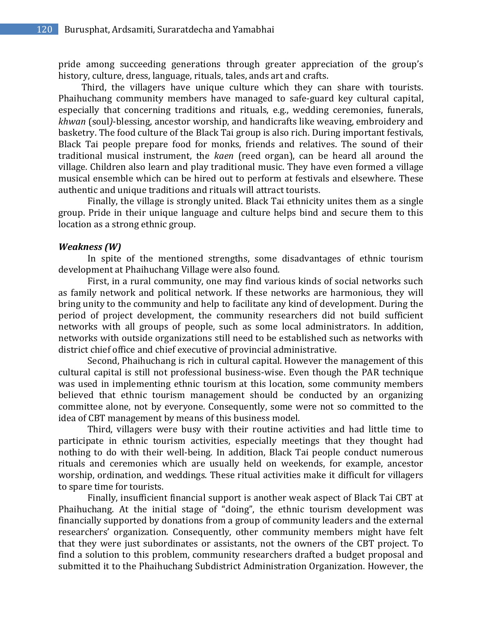pride among succeeding generations through greater appreciation of the group's history, culture, dress, language, rituals, tales, ands art and crafts.

Third, the villagers have unique culture which they can share with tourists. Phaihuchang community members have managed to safe-guard key cultural capital, especially that concerning traditions and rituals, e.g., wedding ceremonies, funerals, *khwan* (soul*)*-blessing, ancestor worship, and handicrafts like weaving, embroidery and basketry. The food culture of the Black Tai group is also rich. During important festivals, Black Tai people prepare food for monks, friends and relatives. The sound of their traditional musical instrument, the *kaen* (reed organ), can be heard all around the village. Children also learn and play traditional music. They have even formed a village musical ensemble which can be hired out to perform at festivals and elsewhere. These authentic and unique traditions and rituals will attract tourists.

Finally, the village is strongly united. Black Tai ethnicity unites them as a single group. Pride in their unique language and culture helps bind and secure them to this location as a strong ethnic group.

#### *Weakness (W)*

In spite of the mentioned strengths, some disadvantages of ethnic tourism development at Phaihuchang Village were also found.

First, in a rural community, one may find various kinds of social networks such as family network and political network. If these networks are harmonious, they will bring unity to the community and help to facilitate any kind of development. During the period of project development, the community researchers did not build sufficient networks with all groups of people, such as some local administrators. In addition, networks with outside organizations still need to be established such as networks with district chief office and chief executive of provincial administrative.

Second, Phaihuchang is rich in cultural capital. However the management of this cultural capital is still not professional business-wise. Even though the PAR technique was used in implementing ethnic tourism at this location, some community members believed that ethnic tourism management should be conducted by an organizing committee alone, not by everyone. Consequently, some were not so committed to the idea of CBT management by means of this business model.

Third, villagers were busy with their routine activities and had little time to participate in ethnic tourism activities, especially meetings that they thought had nothing to do with their well-being. In addition, Black Tai people conduct numerous rituals and ceremonies which are usually held on weekends, for example, ancestor worship, ordination, and weddings. These ritual activities make it difficult for villagers to spare time for tourists.

Finally, insufficient financial support is another weak aspect of Black Tai CBT at Phaihuchang. At the initial stage of "doing", the ethnic tourism development was financially supported by donations from a group of community leaders and the external researchers' organization. Consequently, other community members might have felt that they were just subordinates or assistants, not the owners of the CBT project. To find a solution to this problem, community researchers drafted a budget proposal and submitted it to the Phaihuchang Subdistrict Administration Organization. However, the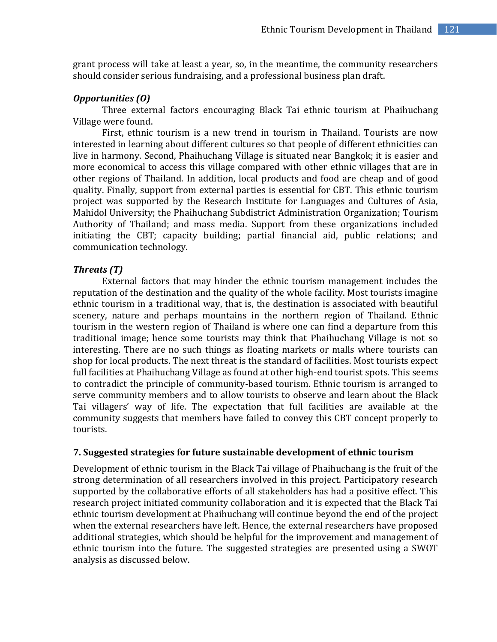grant process will take at least a year, so, in the meantime, the community researchers should consider serious fundraising, and a professional business plan draft.

# *Opportunities (O)*

Three external factors encouraging Black Tai ethnic tourism at Phaihuchang Village were found.

First, ethnic tourism is a new trend in tourism in Thailand. Tourists are now interested in learning about different cultures so that people of different ethnicities can live in harmony. Second, Phaihuchang Village is situated near Bangkok; it is easier and more economical to access this village compared with other ethnic villages that are in other regions of Thailand. In addition, local products and food are cheap and of good quality. Finally, support from external parties is essential for CBT. This ethnic tourism project was supported by the Research Institute for Languages and Cultures of Asia, Mahidol University; the Phaihuchang Subdistrict Administration Organization; Tourism Authority of Thailand; and mass media. Support from these organizations included initiating the CBT; capacity building; partial financial aid, public relations; and communication technology.

# *Threats (T)*

External factors that may hinder the ethnic tourism management includes the reputation of the destination and the quality of the whole facility. Most tourists imagine ethnic tourism in a traditional way, that is, the destination is associated with beautiful scenery, nature and perhaps mountains in the northern region of Thailand. Ethnic tourism in the western region of Thailand is where one can find a departure from this traditional image; hence some tourists may think that Phaihuchang Village is not so interesting. There are no such things as floating markets or malls where tourists can shop for local products. The next threat is the standard of facilities. Most tourists expect full facilities at Phaihuchang Village as found at other high-end tourist spots. This seems to contradict the principle of community-based tourism. Ethnic tourism is arranged to serve community members and to allow tourists to observe and learn about the Black Tai villagers' way of life. The expectation that full facilities are available at the community suggests that members have failed to convey this CBT concept properly to tourists.

# **7. Suggested strategies for future sustainable development of ethnic tourism**

Development of ethnic tourism in the Black Tai village of Phaihuchang is the fruit of the strong determination of all researchers involved in this project. Participatory research supported by the collaborative efforts of all stakeholders has had a positive effect. This research project initiated community collaboration and it is expected that the Black Tai ethnic tourism development at Phaihuchang will continue beyond the end of the project when the external researchers have left. Hence, the external researchers have proposed additional strategies, which should be helpful for the improvement and management of ethnic tourism into the future. The suggested strategies are presented using a SWOT analysis as discussed below.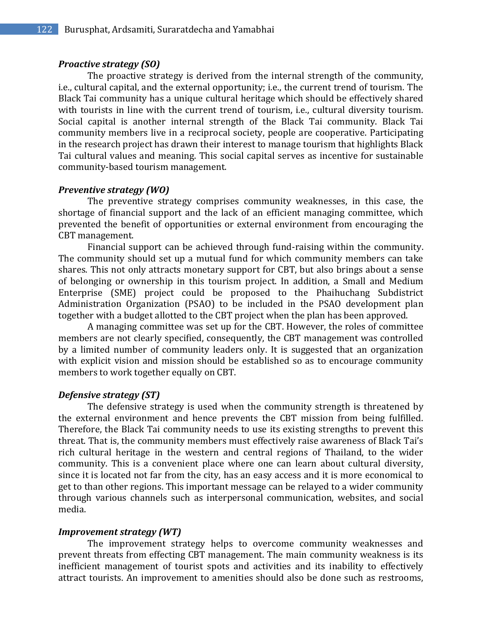## *Proactive strategy (SO)*

The proactive strategy is derived from the internal strength of the community, i.e., cultural capital, and the external opportunity; i.e., the current trend of tourism. The Black Tai community has a unique cultural heritage which should be effectively shared with tourists in line with the current trend of tourism, i.e., cultural diversity tourism. Social capital is another internal strength of the Black Tai community. Black Tai community members live in a reciprocal society, people are cooperative. Participating in the research project has drawn their interest to manage tourism that highlights Black Tai cultural values and meaning. This social capital serves as incentive for sustainable community-based tourism management.

## *Preventive strategy (WO)*

The preventive strategy comprises community weaknesses, in this case, the shortage of financial support and the lack of an efficient managing committee, which prevented the benefit of opportunities or external environment from encouraging the CBT management.

Financial support can be achieved through fund-raising within the community. The community should set up a mutual fund for which community members can take shares. This not only attracts monetary support for CBT, but also brings about a sense of belonging or ownership in this tourism project. In addition, a Small and Medium Enterprise (SME) project could be proposed to the Phaihuchang Subdistrict Administration Organization (PSAO) to be included in the PSAO development plan together with a budget allotted to the CBT project when the plan has been approved.

A managing committee was set up for the CBT. However, the roles of committee members are not clearly specified, consequently, the CBT management was controlled by a limited number of community leaders only. It is suggested that an organization with explicit vision and mission should be established so as to encourage community members to work together equally on CBT.

#### *Defensive strategy (ST)*

The defensive strategy is used when the community strength is threatened by the external environment and hence prevents the CBT mission from being fulfilled. Therefore, the Black Tai community needs to use its existing strengths to prevent this threat. That is, the community members must effectively raise awareness of Black Tai's rich cultural heritage in the western and central regions of Thailand, to the wider community. This is a convenient place where one can learn about cultural diversity, since it is located not far from the city, has an easy access and it is more economical to get to than other regions. This important message can be relayed to a wider community through various channels such as interpersonal communication, websites, and social media.

### *Improvement strategy (WT)*

The improvement strategy helps to overcome community weaknesses and prevent threats from effecting CBT management. The main community weakness is its inefficient management of tourist spots and activities and its inability to effectively attract tourists. An improvement to amenities should also be done such as restrooms,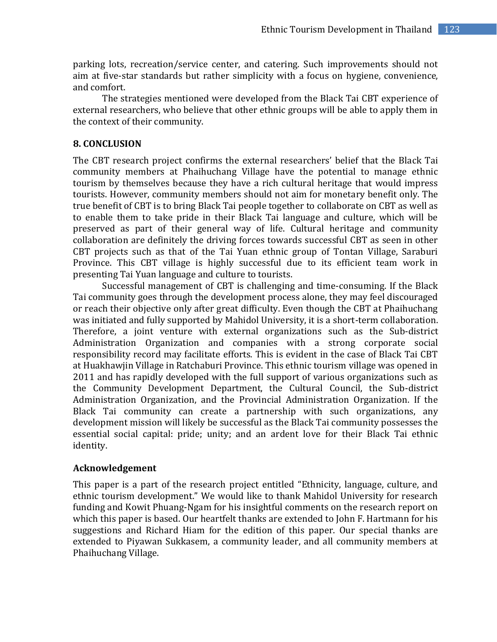parking lots, recreation/service center, and catering. Such improvements should not aim at five-star standards but rather simplicity with a focus on hygiene, convenience, and comfort.

The strategies mentioned were developed from the Black Tai CBT experience of external researchers, who believe that other ethnic groups will be able to apply them in the context of their community.

## **8. CONCLUSION**

The CBT research project confirms the external researchers' belief that the Black Tai community members at Phaihuchang Village have the potential to manage ethnic tourism by themselves because they have a rich cultural heritage that would impress tourists. However, community members should not aim for monetary benefit only. The true benefit of CBT is to bring Black Tai people together to collaborate on CBT as well as to enable them to take pride in their Black Tai language and culture, which will be preserved as part of their general way of life. Cultural heritage and community collaboration are definitely the driving forces towards successful CBT as seen in other CBT projects such as that of the Tai Yuan ethnic group of Tontan Village, Saraburi Province. This CBT village is highly successful due to its efficient team work in presenting Tai Yuan language and culture to tourists.

Successful management of CBT is challenging and time-consuming. If the Black Tai community goes through the development process alone, they may feel discouraged or reach their objective only after great difficulty. Even though the CBT at Phaihuchang was initiated and fully supported by Mahidol University, it is a short-term collaboration. Therefore, a joint venture with external organizations such as the Sub-district Administration Organization and companies with a strong corporate social responsibility record may facilitate efforts. This is evident in the case of Black Tai CBT at Huakhawjin Village in Ratchaburi Province. This ethnic tourism village was opened in 2011 and has rapidly developed with the full support of various organizations such as the Community Development Department, the Cultural Council, the Sub-district Administration Organization, and the Provincial Administration Organization. If the Black Tai community can create a partnership with such organizations, any development mission will likely be successful as the Black Tai community possesses the essential social capital: pride; unity; and an ardent love for their Black Tai ethnic identity.

## **Acknowledgement**

This paper is a part of the research project entitled "Ethnicity, language, culture, and ethnic tourism development." We would like to thank Mahidol University for research funding and Kowit Phuang-Ngam for his insightful comments on the research report on which this paper is based. Our heartfelt thanks are extended to John F. Hartmann for his suggestions and Richard Hiam for the edition of this paper. Our special thanks are extended to Piyawan Sukkasem, a community leader, and all community members at Phaihuchang Village.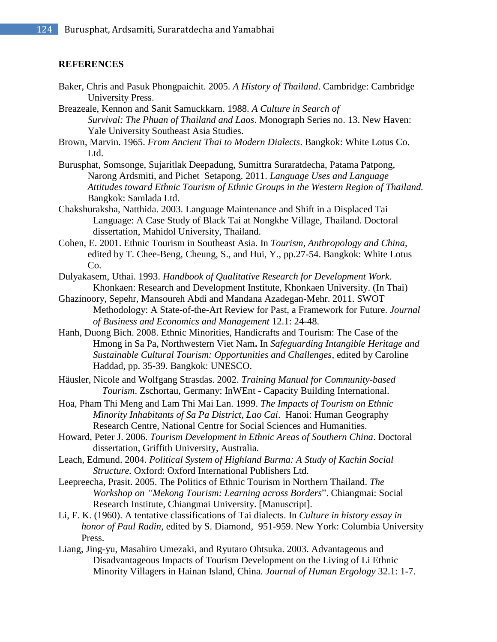#### **REFERENCES**

- Baker, Chris and Pasuk Phongpaichit. 2005. *A History of Thailand*. Cambridge: Cambridge University Press.
- Breazeale, Kennon and Sanit Samuckkarn. 1988. *A Culture in Search of Survival: The Phuan of Thailand and Laos*. Monograph Series no. 13. New Haven: Yale University Southeast Asia Studies.
- Brown, Marvin. 1965. *From Ancient Thai to Modern Dialects*. Bangkok: White Lotus Co. Ltd.
- Burusphat, Somsonge, Sujaritlak Deepadung, Sumittra Suraratdecha, Patama Patpong, Narong Ardsmiti, and Pichet Setapong. 2011. *Language Uses and Language Attitudes toward Ethnic Tourism of Ethnic Groups in the Western Region of Thailand.*  Bangkok: Samlada Ltd.
- Chakshuraksha, Natthida. 2003. Language Maintenance and Shift in a Displaced Tai Language: A Case Study of Black Tai at Nongkhe Village, Thailand. Doctoral dissertation, Mahidol University, Thailand.
- Cohen, E. 2001. Ethnic Tourism in Southeast Asia. In *Tourism, Anthropology and China*, edited by T. Chee-Beng, Cheung, S., and Hui, Y., pp.27-54. Bangkok: White Lotus Co.
- Dulyakasem, Uthai. 1993. *Handbook of Qualitative Research for Development Work*. Khonkaen: Research and Development Institute, Khonkaen University. (In Thai)
- Ghazinoory, Sepehr, Mansoureh Abdi and Mandana Azadegan-Mehr. 2011. SWOT Methodology: A State-of-the-Art Review for Past, a Framework for Future. *Journal of Business and Economics and Management* 12.1: 24-48.
- Hanh, Duong Bich. 2008. Ethnic Minorities, Handicrafts and Tourism: The Case of the Hmong in Sa Pa, Northwestern Viet Nam**.** In *Safeguarding Intangible Heritage and Sustainable Cultural Tourism: Opportunities and Challenges*, edited by Caroline Haddad, pp. 35-39. Bangkok: UNESCO.
- Häusler, Nicole and Wolfgang Strasdas. 2002. *Training Manual for Community-based Tourism*. Zschortau, Germany: InWEnt - Capacity Building International.
- Hoa, Pham Thi Meng and Lam Thi Mai Lan. 1999. *The Impacts of Tourism on Ethnic Minority Inhabitants of Sa Pa District, Lao Cai*. Hanoi: Human Geography Research Centre, National Centre for Social Sciences and Humanities.
- Howard, Peter J. 2006. *Tourism Development in Ethnic Areas of Southern China*. Doctoral dissertation, Griffith University, Australia.
- Leach, Edmund. 2004. *Political System of Highland Burma: A Study of Kachin Social Structure.* Oxford: Oxford International Publishers Ltd.
- Leepreecha, Prasit. 2005. The Politics of Ethnic Tourism in Northern Thailand. *The Workshop on "Mekong Tourism: Learning across Borders*". Chiangmai: Social Research Institute, Chiangmai University. [Manuscript].
- Li, F. K. (1960). A tentative classifications of Tai dialects. In *Culture in history essay in honor of Paul Radin*, edited by S. Diamond, 951-959. New York: Columbia University Press.
- Liang, Jing-yu, Masahiro Umezaki, and Ryutaro Ohtsuka. 2003. Advantageous and Disadvantageous Impacts of Tourism Development on the Living of Li Ethnic Minority Villagers in Hainan Island, China. *Journal of Human Ergology* 32.1: 1-7.